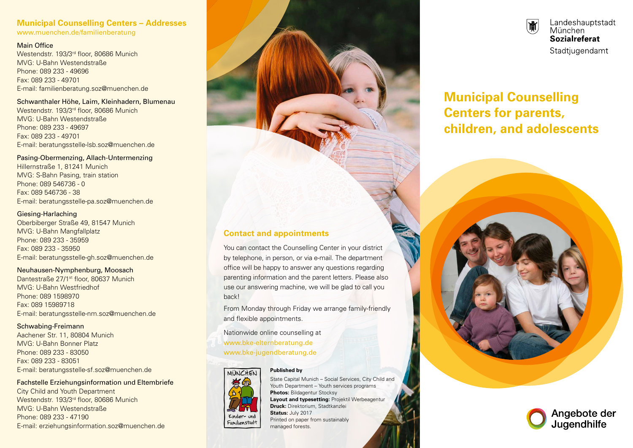#### **Municipal Counselling Centers – Addresses** www.muenchen.de/familienberatung

#### Main Office

Westendstr. 193/3rd floor, 80686 Munich MVG: U-Bahn Westendstraße Phone: 089 233 - 49696 Fax: 089 233 - 49701 E-mail: familienberatung.soz@muenchen.de

Schwanthaler Höhe, Laim, Kleinhadern, Blumenau Westendstr. 193/3rd floor, 80686 Munich MVG: U-Bahn Westendstraße Phone: 089 233 - 49697 Fax: 089 233 - 49701 E-mail: beratungsstelle-lsb.soz@muenchen.de

#### Pasing-Obermenzing, Allach-Untermenzing

Hillernstraße 1, 81241 Munich MVG: S-Bahn Pasing, train station Phone: 089 546736 - 0 Fax: 089 546736 - 38 E-mail: beratungsstelle-pa.soz@muenchen.de

#### Giesing-Harlaching

Oberbiberger Straße 49, 81547 Munich MVG: U-Bahn Mangfallplatz Phone: 089 233 - 35959 Fax: 089 233 - 35950 E-mail: beratungsstelle-gh.soz@muenchen.de

#### Neuhausen-Nymphenburg, Moosach

Dantestraße 27/1st floor, 80637 Munich MVG: U-Bahn Westfriedhof Phone: 089 1598970 Fax: 089 15989718 E-mail: beratungsstelle-nm.soz@muenchen.de

Schwabing-Freimann Aachener Str. 11, 80804 Munich MVG: U-Bahn Bonner Platz Phone: 089 233 - 83050 Fax: 089 233 - 83051 E-mail: beratungsstelle-sf.soz@muenchen.de

Fachstelle Erziehungsinformation und Eltembriefe City Child and Youth Department Westendstr. 193/3rd floor, 80686 Munich MVG: U-Bahn Westendstraße Phone: 089 233 - 47190 E-mail: erziehungsinformation.soz@muenchen.de

# **Contact and appointments**

You can contact the Counselling Center in your district by telephone, in person, or via e-mail. The department office will be happy to answer any questions regarding parenting information and the parent letters. Please also use our answering machine, we will be glad to call you back!

From Monday through Friday we arrange family-friendly and flexible appointments.

Nationwide online counselling at www.bke-elternberatung.de www.bke-jugendberatung.de

# MÜNCHEN



**Published by**  State Capital Munich – Social Services, City Child and Youth Department – Youth services programs **Photos:** Bildagentur Stocksy **Layout and typesetting: Projektil Werbeagenture Druck:** Direktorium, Stadtkanzlei **Status:** July 2017 Printed on paper from sustainably managed forests.

Landeshauptstadt  $|\r\Pi|$ München Sozialreferat Stadtjugendamt

# **Municipal Counselling Centers for parents, children, and adolescents**